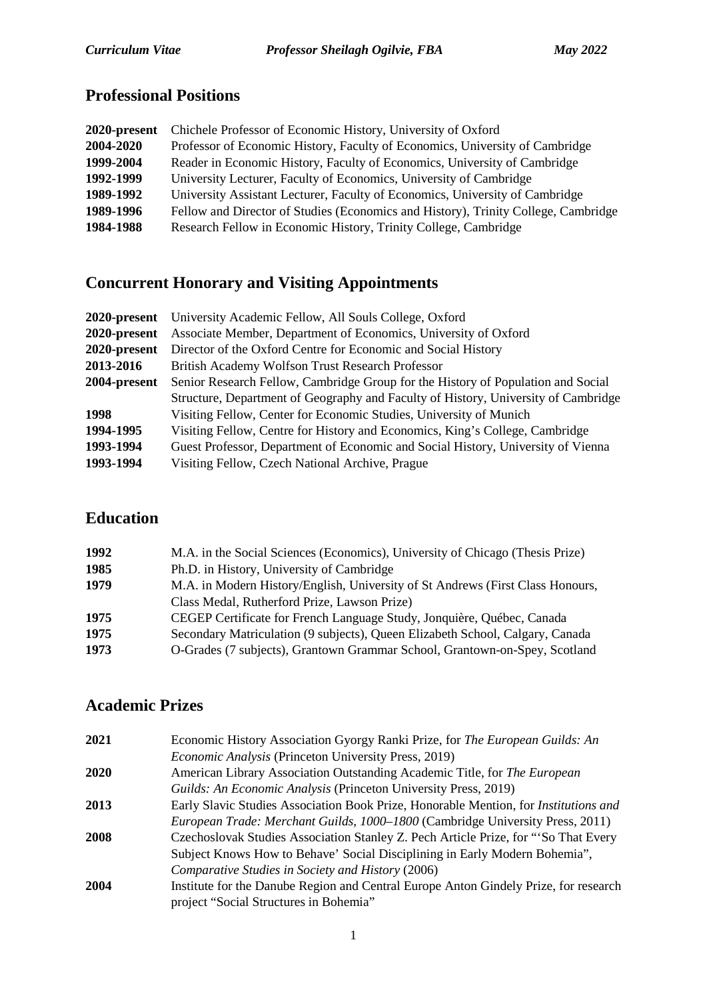# **Professional Positions**

| 2020-present | Chichele Professor of Economic History, University of Oxford                       |
|--------------|------------------------------------------------------------------------------------|
| 2004-2020    | Professor of Economic History, Faculty of Economics, University of Cambridge       |
| 1999-2004    | Reader in Economic History, Faculty of Economics, University of Cambridge          |
| 1992-1999    | University Lecturer, Faculty of Economics, University of Cambridge                 |
| 1989-1992    | University Assistant Lecturer, Faculty of Economics, University of Cambridge       |
| 1989-1996    | Fellow and Director of Studies (Economics and History), Trinity College, Cambridge |
| 1984-1988    | Research Fellow in Economic History, Trinity College, Cambridge                    |

# **Concurrent Honorary and Visiting Appointments**

| <b>2020-present</b> University Academic Fellow, All Souls College, Oxford          |
|------------------------------------------------------------------------------------|
| Associate Member, Department of Economics, University of Oxford                    |
| Director of the Oxford Centre for Economic and Social History                      |
| British Academy Wolfson Trust Research Professor                                   |
| Senior Research Fellow, Cambridge Group for the History of Population and Social   |
| Structure, Department of Geography and Faculty of History, University of Cambridge |
| Visiting Fellow, Center for Economic Studies, University of Munich                 |
| Visiting Fellow, Centre for History and Economics, King's College, Cambridge       |
| Guest Professor, Department of Economic and Social History, University of Vienna   |
| Visiting Fellow, Czech National Archive, Prague                                    |
|                                                                                    |

## **Education**

| 1992 | M.A. in the Social Sciences (Economics), University of Chicago (Thesis Prize)  |
|------|--------------------------------------------------------------------------------|
| 1985 | Ph.D. in History, University of Cambridge                                      |
| 1979 | M.A. in Modern History/English, University of St Andrews (First Class Honours, |
|      | Class Medal, Rutherford Prize, Lawson Prize)                                   |
| 1975 | CEGEP Certificate for French Language Study, Jonquière, Québec, Canada         |
| 1975 | Secondary Matriculation (9 subjects), Queen Elizabeth School, Calgary, Canada  |
| 1973 | O-Grades (7 subjects), Grantown Grammar School, Grantown-on-Spey, Scotland     |
|      |                                                                                |

### **Academic Prizes**

| Economic History Association Gyorgy Ranki Prize, for The European Guilds: An         |
|--------------------------------------------------------------------------------------|
| Economic Analysis (Princeton University Press, 2019)                                 |
| American Library Association Outstanding Academic Title, for The European            |
| Guilds: An Economic Analysis (Princeton University Press, 2019)                      |
| Early Slavic Studies Association Book Prize, Honorable Mention, for Institutions and |
| European Trade: Merchant Guilds, 1000–1800 (Cambridge University Press, 2011)        |
| Czechoslovak Studies Association Stanley Z. Pech Article Prize, for "So That Every   |
| Subject Knows How to Behave' Social Disciplining in Early Modern Bohemia",           |
| Comparative Studies in Society and History (2006)                                    |
| Institute for the Danube Region and Central Europe Anton Gindely Prize, for research |
| project "Social Structures in Bohemia"                                               |
|                                                                                      |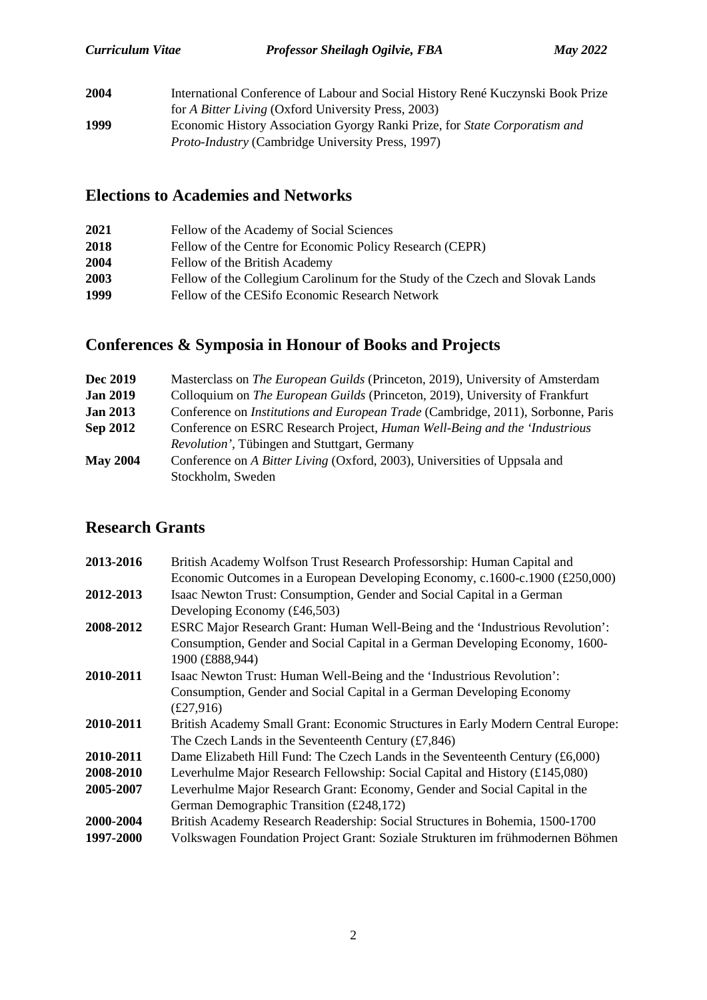| 2004 | International Conference of Labour and Social History René Kuczynski Book Prize |
|------|---------------------------------------------------------------------------------|
|      | for A Bitter Living (Oxford University Press, 2003)                             |
| 1999 | Economic History Association Gyorgy Ranki Prize, for State Corporatism and      |
|      | <i>Proto-Industry</i> (Cambridge University Press, 1997)                        |

## **Elections to Academies and Networks**

| 2021 | Fellow of the Academy of Social Sciences                                      |
|------|-------------------------------------------------------------------------------|
| 2018 | Fellow of the Centre for Economic Policy Research (CEPR)                      |
| 2004 | Fellow of the British Academy                                                 |
| 2003 | Fellow of the Collegium Carolinum for the Study of the Czech and Slovak Lands |
| 1999 | Fellow of the CESifo Economic Research Network                                |
|      |                                                                               |

# **Conferences & Symposia in Honour of Books and Projects**

| <b>Dec 2019</b> | Masterclass on <i>The European Guilds</i> (Princeton, 2019), University of Amsterdam    |
|-----------------|-----------------------------------------------------------------------------------------|
| <b>Jan 2019</b> | Colloquium on <i>The European Guilds</i> (Princeton, 2019), University of Frankfurt     |
| <b>Jan 2013</b> | Conference on <i>Institutions and European Trade</i> (Cambridge, 2011), Sorbonne, Paris |
| <b>Sep 2012</b> | Conference on ESRC Research Project, <i>Human Well-Being and the 'Industrious</i>       |
|                 | <i>Revolution'</i> , Tübingen and Stuttgart, Germany                                    |
| <b>May 2004</b> | Conference on A Bitter Living (Oxford, 2003), Universities of Uppsala and               |
|                 | Stockholm, Sweden                                                                       |

## **Research Grants**

| 2013-2016 | British Academy Wolfson Trust Research Professorship: Human Capital and<br>Economic Outcomes in a European Developing Economy, c.1600-c.1900 $(\text{\pounds}250,000)$           |
|-----------|----------------------------------------------------------------------------------------------------------------------------------------------------------------------------------|
| 2012-2013 | Isaac Newton Trust: Consumption, Gender and Social Capital in a German                                                                                                           |
|           | Developing Economy $(f.46, 503)$                                                                                                                                                 |
| 2008-2012 | ESRC Major Research Grant: Human Well-Being and the 'Industrious Revolution':<br>Consumption, Gender and Social Capital in a German Developing Economy, 1600-<br>1900 (£888,944) |
| 2010-2011 | Isaac Newton Trust: Human Well-Being and the 'Industrious Revolution':                                                                                                           |
|           | Consumption, Gender and Social Capital in a German Developing Economy                                                                                                            |
|           | £27,916)                                                                                                                                                                         |
| 2010-2011 | British Academy Small Grant: Economic Structures in Early Modern Central Europe:                                                                                                 |
|           | The Czech Lands in the Seventeenth Century $(f7,846)$                                                                                                                            |
| 2010-2011 | Dame Elizabeth Hill Fund: The Czech Lands in the Seventeenth Century (£6,000)                                                                                                    |
| 2008-2010 | Leverhulme Major Research Fellowship: Social Capital and History (£145,080)                                                                                                      |
| 2005-2007 | Leverhulme Major Research Grant: Economy, Gender and Social Capital in the                                                                                                       |
|           | German Demographic Transition (£248,172)                                                                                                                                         |
| 2000-2004 | British Academy Research Readership: Social Structures in Bohemia, 1500-1700                                                                                                     |
| 1997-2000 | Volkswagen Foundation Project Grant: Soziale Strukturen im frühmodernen Böhmen                                                                                                   |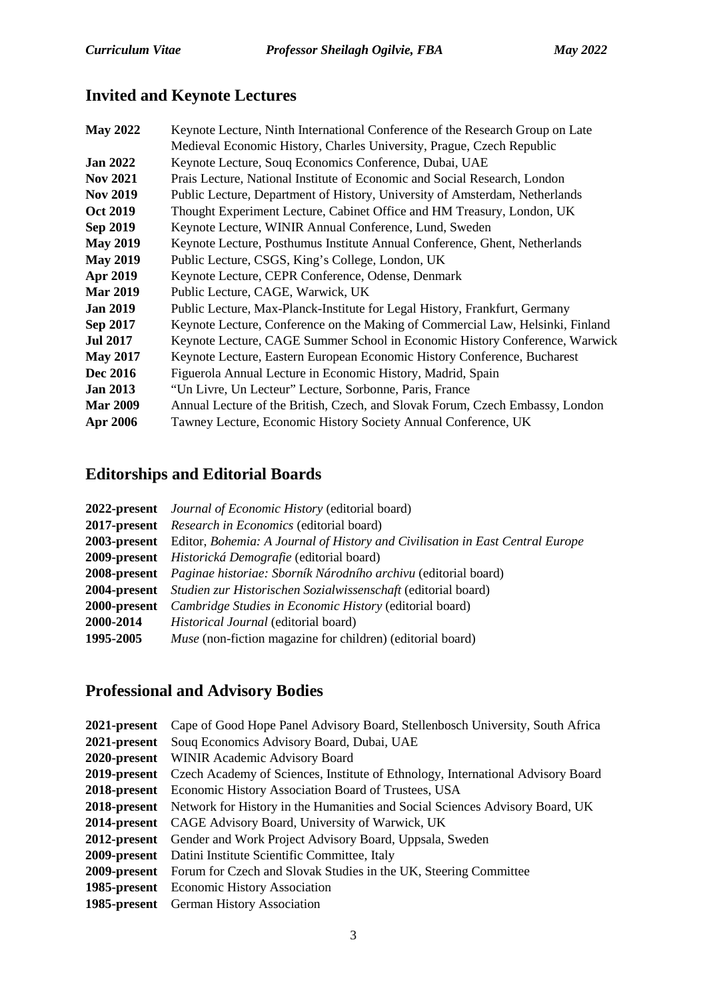# **Invited and Keynote Lectures**

| <b>May 2022</b> | Keynote Lecture, Ninth International Conference of the Research Group on Late  |
|-----------------|--------------------------------------------------------------------------------|
|                 | Medieval Economic History, Charles University, Prague, Czech Republic          |
| <b>Jan 2022</b> | Keynote Lecture, Souq Economics Conference, Dubai, UAE                         |
| <b>Nov 2021</b> | Prais Lecture, National Institute of Economic and Social Research, London      |
| <b>Nov 2019</b> | Public Lecture, Department of History, University of Amsterdam, Netherlands    |
| <b>Oct 2019</b> | Thought Experiment Lecture, Cabinet Office and HM Treasury, London, UK         |
| Sep 2019        | Keynote Lecture, WINIR Annual Conference, Lund, Sweden                         |
| <b>May 2019</b> | Keynote Lecture, Posthumus Institute Annual Conference, Ghent, Netherlands     |
| <b>May 2019</b> | Public Lecture, CSGS, King's College, London, UK                               |
| Apr 2019        | Keynote Lecture, CEPR Conference, Odense, Denmark                              |
| <b>Mar 2019</b> | Public Lecture, CAGE, Warwick, UK                                              |
| <b>Jan 2019</b> | Public Lecture, Max-Planck-Institute for Legal History, Frankfurt, Germany     |
| Sep 2017        | Keynote Lecture, Conference on the Making of Commercial Law, Helsinki, Finland |
| <b>Jul 2017</b> | Keynote Lecture, CAGE Summer School in Economic History Conference, Warwick    |
| <b>May 2017</b> | Keynote Lecture, Eastern European Economic History Conference, Bucharest       |
| Dec 2016        | Figuerola Annual Lecture in Economic History, Madrid, Spain                    |
| <b>Jan 2013</b> | "Un Livre, Un Lecteur" Lecture, Sorbonne, Paris, France                        |
| <b>Mar 2009</b> | Annual Lecture of the British, Czech, and Slovak Forum, Czech Embassy, London  |
| Apr 2006        | Tawney Lecture, Economic History Society Annual Conference, UK                 |
|                 |                                                                                |

# **Editorships and Editorial Boards**

|                     | <b>2022-present</b> Journal of Economic History (editorial board)                          |
|---------------------|--------------------------------------------------------------------------------------------|
|                     | <b>2017-present</b> Research in Economics (editorial board)                                |
|                     | 2003-present Editor, Bohemia: A Journal of History and Civilisation in East Central Europe |
|                     | 2009-present Historická Demografie (editorial board)                                       |
|                     | 2008-present Paginae historiae: Sborník Národního archivu (editorial board)                |
| 2004-present        | Studien zur Historischen Sozialwissenschaft (editorial board)                              |
| <b>2000-present</b> | Cambridge Studies in Economic History (editorial board)                                    |
| 2000-2014           | <i>Historical Journal</i> (editorial board)                                                |
| 1995-2005           | <i>Muse</i> (non-fiction magazine for children) (editorial board)                          |

# **Professional and Advisory Bodies**

| 2021-present Cape of Good Hope Panel Advisory Board, Stellenbosch University, South Africa       |
|--------------------------------------------------------------------------------------------------|
| <b>2021-present</b> Soug Economics Advisory Board, Dubai, UAE                                    |
| 2020-present WINIR Academic Advisory Board                                                       |
| 2019-present Czech Academy of Sciences, Institute of Ethnology, International Advisory Board     |
| <b>2018-present</b> Economic History Association Board of Trustees, USA                          |
| <b>2018-present</b> Network for History in the Humanities and Social Sciences Advisory Board, UK |
| <b>2014-present</b> CAGE Advisory Board, University of Warwick, UK                               |
| 2012-present Gender and Work Project Advisory Board, Uppsala, Sweden                             |
| <b>2009-present</b> Datini Institute Scientific Committee, Italy                                 |
| <b>2009-present</b> Forum for Czech and Slovak Studies in the UK, Steering Committee             |
| <b>1985-present</b> Economic History Association                                                 |
| <b>1985-present</b> German History Association                                                   |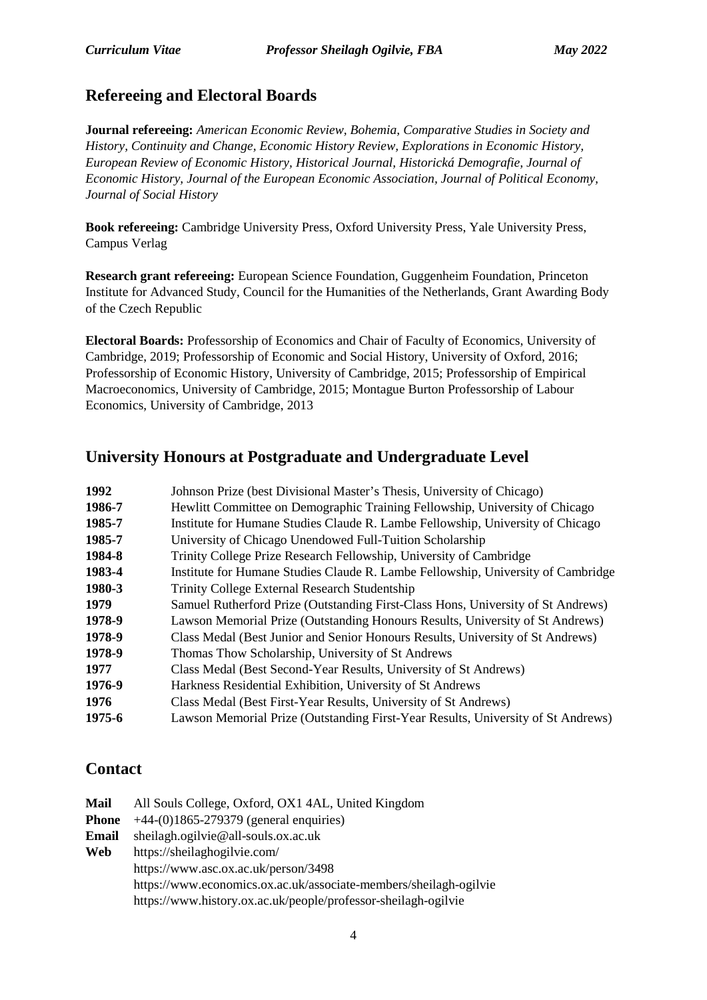#### **Refereeing and Electoral Boards**

**Journal refereeing:** *American Economic Review, Bohemia, Comparative Studies in Society and History, Continuity and Change, Economic History Review, Explorations in Economic History, European Review of Economic History, Historical Journal, Historická Demografie, Journal of Economic History, Journal of the European Economic Association, Journal of Political Economy, Journal of Social History*

**Book refereeing:** Cambridge University Press, Oxford University Press, Yale University Press, Campus Verlag

**Research grant refereeing:** European Science Foundation, Guggenheim Foundation, Princeton Institute for Advanced Study, Council for the Humanities of the Netherlands, Grant Awarding Body of the Czech Republic

**Electoral Boards:** Professorship of Economics and Chair of Faculty of Economics, University of Cambridge, 2019; Professorship of Economic and Social History, University of Oxford, 2016; Professorship of Economic History, University of Cambridge, 2015; Professorship of Empirical Macroeconomics, University of Cambridge, 2015; Montague Burton Professorship of Labour Economics, University of Cambridge, 2013

#### **University Honours at Postgraduate and Undergraduate Level**

| 1992   | Johnson Prize (best Divisional Master's Thesis, University of Chicago)           |
|--------|----------------------------------------------------------------------------------|
| 1986-7 | Hewlitt Committee on Demographic Training Fellowship, University of Chicago      |
| 1985-7 | Institute for Humane Studies Claude R. Lambe Fellowship, University of Chicago   |
| 1985-7 | University of Chicago Unendowed Full-Tuition Scholarship                         |
| 1984-8 | Trinity College Prize Research Fellowship, University of Cambridge               |
| 1983-4 | Institute for Humane Studies Claude R. Lambe Fellowship, University of Cambridge |
| 1980-3 | Trinity College External Research Studentship                                    |
| 1979   | Samuel Rutherford Prize (Outstanding First-Class Hons, University of St Andrews) |
| 1978-9 | Lawson Memorial Prize (Outstanding Honours Results, University of St Andrews)    |
| 1978-9 | Class Medal (Best Junior and Senior Honours Results, University of St Andrews)   |
| 1978-9 | Thomas Thow Scholarship, University of St Andrews                                |
| 1977   | Class Medal (Best Second-Year Results, University of St Andrews)                 |
| 1976-9 | Harkness Residential Exhibition, University of St Andrews                        |
| 1976   | Class Medal (Best First-Year Results, University of St Andrews)                  |
| 1975-6 | Lawson Memorial Prize (Outstanding First-Year Results, University of St Andrews) |

#### **Contact**

| Mail  | All Souls College, Oxford, OX1 4AL, United Kingdom                |
|-------|-------------------------------------------------------------------|
| Phone | $+44-(0)1865-279379$ (general enquiries)                          |
| Email | sheilagh.ogilvie@all-souls.ox.ac.uk                               |
| Web   | https://sheilaghogilvie.com/                                      |
|       | https://www.asc.ox.ac.uk/person/3498                              |
|       | https://www.economics.ox.ac.uk/associate-members/sheilagh-ogilvie |
|       | https://www.history.ox.ac.uk/people/professor-sheilagh-ogilvie    |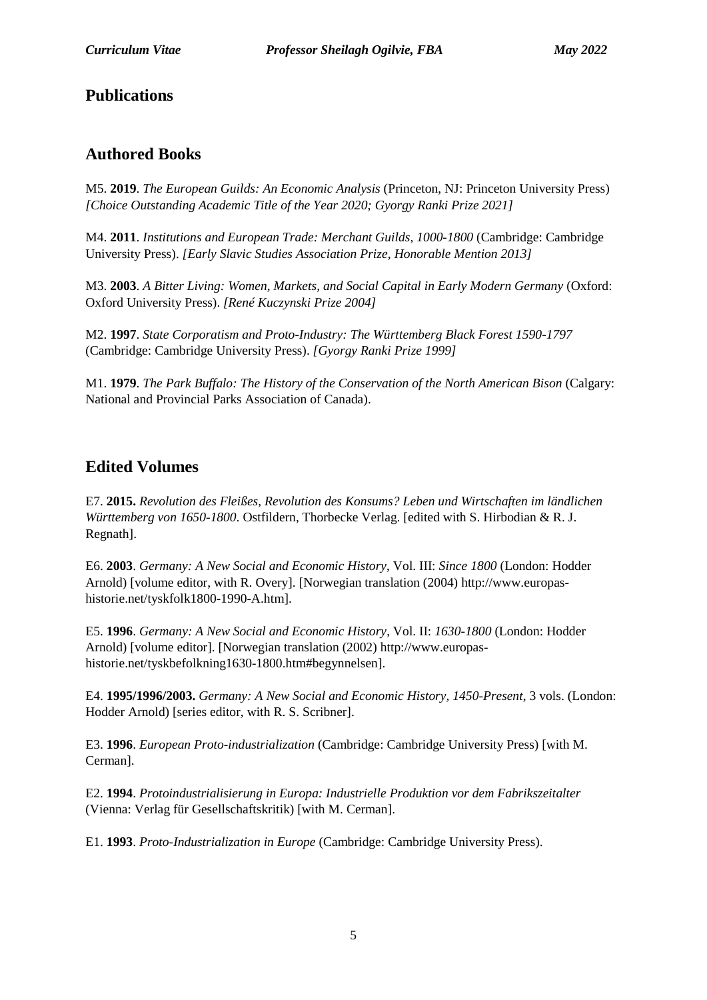#### **Publications**

#### **Authored Books**

M5. **2019**. *The European Guilds: An Economic Analysis* (Princeton, NJ: Princeton University Press) *[Choice Outstanding Academic Title of the Year 2020; Gyorgy Ranki Prize 2021]*

M4. **2011**. *Institutions and European Trade: Merchant Guilds, 1000-1800* (Cambridge: Cambridge University Press). *[Early Slavic Studies Association Prize, Honorable Mention 2013]*

M3. **2003**. *A Bitter Living: Women, Markets, and Social Capital in Early Modern Germany* (Oxford: Oxford University Press). *[René Kuczynski Prize 2004]*

M2. **1997**. *State Corporatism and Proto-Industry: The Württemberg Black Forest 1590-1797* (Cambridge: Cambridge University Press). *[Gyorgy Ranki Prize 1999]*

M1. **1979**. *The Park Buffalo: The History of the Conservation of the North American Bison* (Calgary: National and Provincial Parks Association of Canada).

#### **Edited Volumes**

E7. **2015.** *Revolution des Fleißes, Revolution des Konsums? Leben und Wirtschaften im ländlichen Württemberg von 1650-1800*. Ostfildern, Thorbecke Verlag. [edited with S. Hirbodian & R. J. Regnath].

E6. **2003**. *Germany: A New Social and Economic History*, Vol. III: *Since 1800* (London: Hodder Arnold) [volume editor, with R. Overy]. [Norwegian translation (2004) http://www.europashistorie.net/tyskfolk1800-1990-A.htm].

E5. **1996**. *Germany: A New Social and Economic History*, Vol. II: *1630-1800* (London: Hodder Arnold) [volume editor]. [Norwegian translation (2002) http://www.europashistorie.net/tyskbefolkning1630-1800.htm#begynnelsen].

E4. **1995/1996/2003.** *Germany: A New Social and Economic History, 1450-Present*, 3 vols. (London: Hodder Arnold) [series editor, with R. S. Scribner].

E3. **1996**. *European Proto-industrialization* (Cambridge: Cambridge University Press) [with M. Cerman].

E2. **1994**. *Protoindustrialisierung in Europa: Industrielle Produktion vor dem Fabrikszeitalter* (Vienna: Verlag für Gesellschaftskritik) [with M. Cerman].

E1. **1993**. *Proto-Industrialization in Europe* (Cambridge: Cambridge University Press).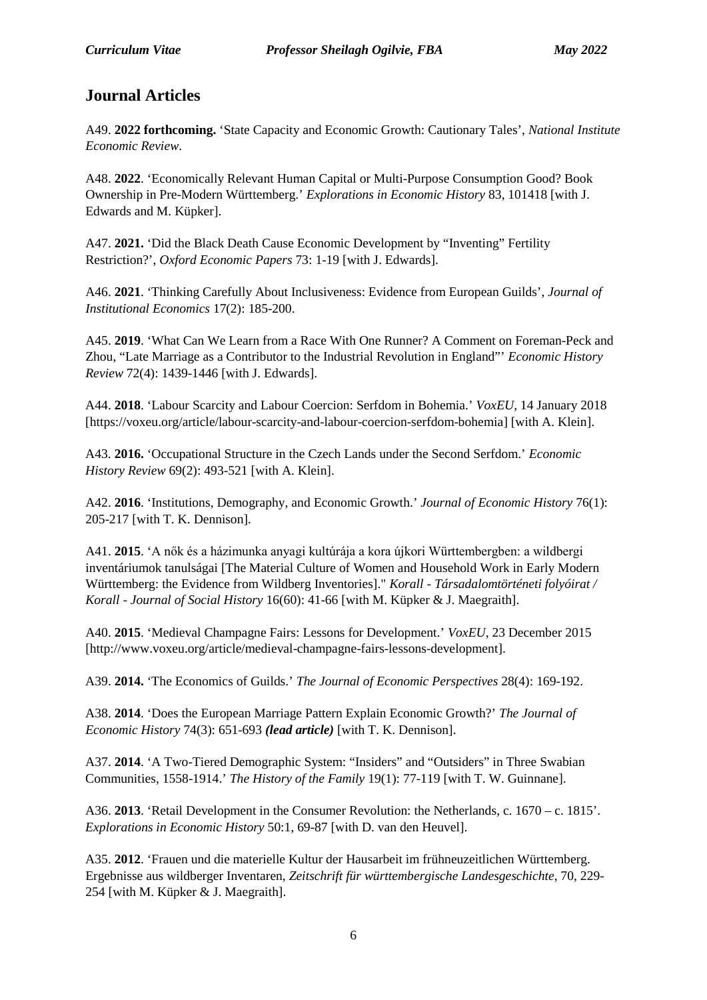### **Journal Articles**

A49. **2022 forthcoming.** 'State Capacity and Economic Growth: Cautionary Tales', *National Institute Economic Review*.

A48. **2022**. 'Economically Relevant Human Capital or Multi-Purpose Consumption Good? Book Ownership in Pre-Modern Württemberg.' *Explorations in Economic History* 83, 101418 [with J. Edwards and M. Küpker].

A47. **2021.** 'Did the Black Death Cause Economic Development by "Inventing" Fertility Restriction?', *Oxford Economic Papers* 73: 1-19 [with J. Edwards].

A46. **2021**. 'Thinking Carefully About Inclusiveness: Evidence from European Guilds', *Journal of Institutional Economics* 17(2): 185-200.

A45. **2019**. 'What Can We Learn from a Race With One Runner? A Comment on Foreman-Peck and Zhou, "Late Marriage as a Contributor to the Industrial Revolution in England"' *Economic History Review* 72(4): 1439-1446 [with J. Edwards].

A44. **2018**. 'Labour Scarcity and Labour Coercion: Serfdom in Bohemia.' *VoxEU*, 14 January 2018 [https://voxeu.org/article/labour-scarcity-and-labour-coercion-serfdom-bohemia] [with A. Klein].

A43. **2016.** 'Occupational Structure in the Czech Lands under the Second Serfdom.' *Economic History Review* 69(2): 493-521 [with A. Klein].

A42. **2016**. 'Institutions, Demography, and Economic Growth.' *Journal of Economic History* 76(1): 205-217 [with T. K. Dennison].

A41. **2015**. 'A nők és a házimunka anyagi kultúrája a kora újkori Württembergben: a wildbergi inventáriumok tanulságai [The Material Culture of Women and Household Work in Early Modern Württemberg: the Evidence from Wildberg Inventories]." *Korall - Társadalomtörténeti folyóirat / Korall - Journal of Social History* 16(60): 41-66 [with M. Küpker & J. Maegraith].

A40. **2015**. 'Medieval Champagne Fairs: Lessons for Development.' *VoxEU*, 23 December 2015 [http://www.voxeu.org/article/medieval-champagne-fairs-lessons-development].

A39. **2014.** 'The Economics of Guilds.' *The Journal of Economic Perspectives* 28(4): 169-192.

A38. **2014**. 'Does the European Marriage Pattern Explain Economic Growth?' *The Journal of Economic History* 74(3): 651-693 *(lead article)* [with T. K. Dennison].

A37. **2014**. 'A Two-Tiered Demographic System: "Insiders" and "Outsiders" in Three Swabian Communities, 1558-1914.' *The History of the Family* 19(1): 77-119 [with T. W. Guinnane].

A36. **2013**. 'Retail Development in the Consumer Revolution: the Netherlands, c. 1670 – c. 1815'. *Explorations in Economic History* 50:1, 69-87 [with D. van den Heuvel].

A35. **2012**. 'Frauen und die materielle Kultur der Hausarbeit im frühneuzeitlichen Württemberg. Ergebnisse aus wildberger Inventaren, *Zeitschrift für württembergische Landesgeschichte*, 70, 229- 254 [with M. Küpker & J. Maegraith].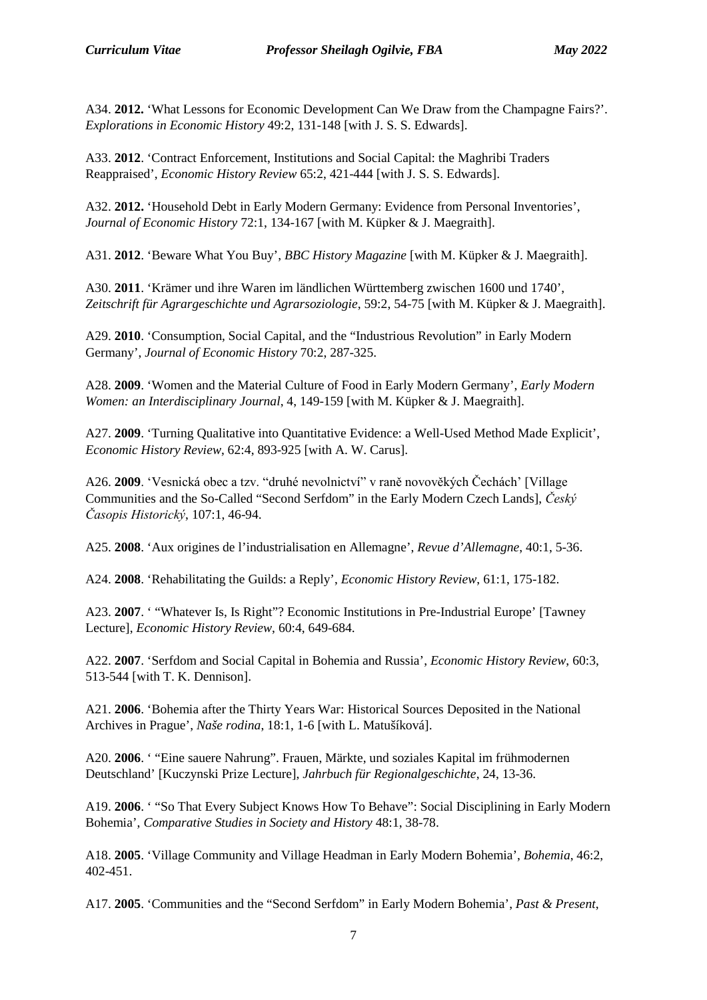A34. **2012.** 'What Lessons for Economic Development Can We Draw from the Champagne Fairs?'. *Explorations in Economic History* 49:2, 131-148 [with J. S. S. Edwards].

A33. **2012**. 'Contract Enforcement, Institutions and Social Capital: the Maghribi Traders Reappraised', *Economic History Review* 65:2, 421-444 [with J. S. S. Edwards].

A32. **2012.** 'Household Debt in Early Modern Germany: Evidence from Personal Inventories', *Journal of Economic History* 72:1, 134-167 [with M. Küpker & J. Maegraith].

A31. **2012**. 'Beware What You Buy', *BBC History Magazine* [with M. Küpker & J. Maegraith].

A30. **2011**. 'Krämer und ihre Waren im ländlichen Württemberg zwischen 1600 und 1740', *Zeitschrift für Agrargeschichte und Agrarsoziologie*, 59:2, 54-75 [with M. Küpker & J. Maegraith].

A29. **2010**. 'Consumption, Social Capital, and the "Industrious Revolution" in Early Modern Germany', *Journal of Economic History* 70:2, 287-325.

A28. **2009**. 'Women and the Material Culture of Food in Early Modern Germany', *Early Modern Women: an Interdisciplinary Journal*, 4, 149-159 [with M. Küpker & J. Maegraith].

A27. **2009**. 'Turning Qualitative into Quantitative Evidence: a Well-Used Method Made Explicit', *Economic History Review*, 62:4, 893-925 [with A. W. Carus].

A26. **2009**. 'Vesnická obec a tzv. "druhé nevolnictví" v raně novověkých Čechách' [Village Communities and the So-Called "Second Serfdom" in the Early Modern Czech Lands], *Český Časopis Historický*, 107:1, 46-94.

A25. **2008**. 'Aux origines de l'industrialisation en Allemagne', *Revue d'Allemagne*, 40:1, 5-36.

A24. **2008**. 'Rehabilitating the Guilds: a Reply', *Economic History Review*, 61:1, 175-182.

A23. **2007**. ' "Whatever Is, Is Right"? Economic Institutions in Pre-Industrial Europe' [Tawney Lecture], *Economic History Review*, 60:4, 649-684.

A22. **2007**. 'Serfdom and Social Capital in Bohemia and Russia', *Economic History Review*, 60:3, 513-544 [with T. K. Dennison].

A21. **2006**. 'Bohemia after the Thirty Years War: Historical Sources Deposited in the National Archives in Prague', *Naše rodina*, 18:1, 1-6 [with L. Matušíková].

A20. **2006**. ' "Eine sauere Nahrung". Frauen, Märkte, und soziales Kapital im frühmodernen Deutschland' [Kuczynski Prize Lecture], *Jahrbuch für Regionalgeschichte*, 24, 13-36.

A19. **2006**. ' "So That Every Subject Knows How To Behave": Social Disciplining in Early Modern Bohemia', *Comparative Studies in Society and History* 48:1, 38-78.

A18. **2005**. 'Village Community and Village Headman in Early Modern Bohemia', *Bohemia*, 46:2, 402-451.

A17. **2005**. 'Communities and the "Second Serfdom" in Early Modern Bohemia', *Past & Present*,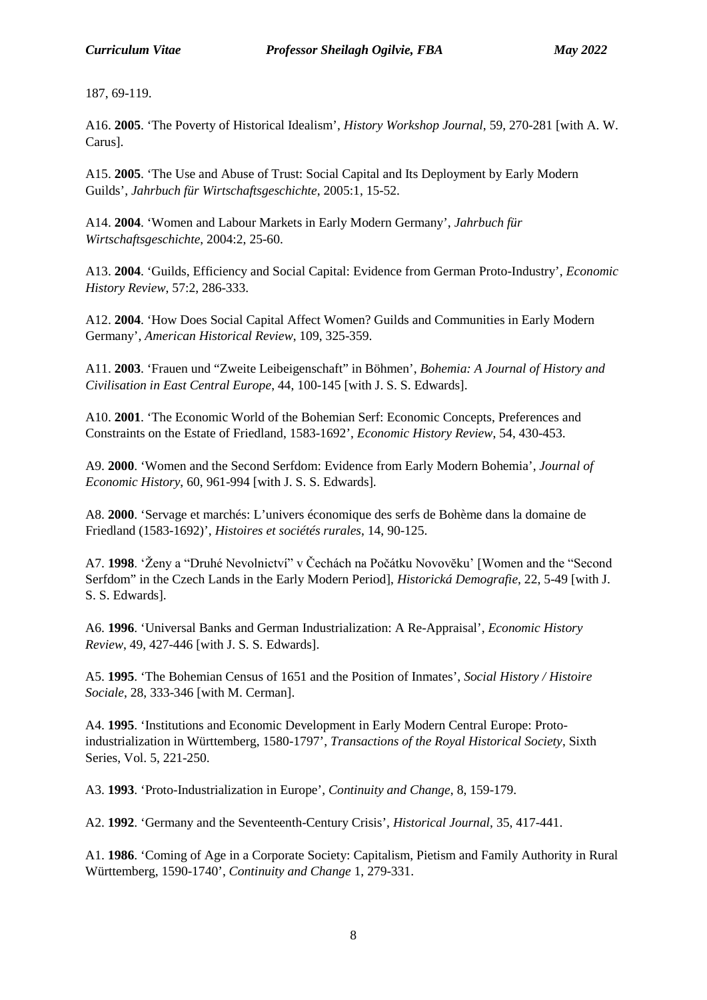187, 69-119.

A16. **2005**. 'The Poverty of Historical Idealism', *History Workshop Journal*, 59, 270-281 [with A. W. Carus].

A15. **2005**. 'The Use and Abuse of Trust: Social Capital and Its Deployment by Early Modern Guilds', *Jahrbuch für Wirtschaftsgeschichte*, 2005:1, 15-52.

A14. **2004**. 'Women and Labour Markets in Early Modern Germany', *Jahrbuch für Wirtschaftsgeschichte*, 2004:2, 25-60.

A13. **2004**. 'Guilds, Efficiency and Social Capital: Evidence from German Proto-Industry', *Economic History Review*, 57:2, 286-333.

A12. **2004**. 'How Does Social Capital Affect Women? Guilds and Communities in Early Modern Germany', *American Historical Review*, 109, 325-359.

A11. **2003**. 'Frauen und "Zweite Leibeigenschaft" in Böhmen', *Bohemia: A Journal of History and Civilisation in East Central Europe*, 44, 100-145 [with J. S. S. Edwards].

A10. **2001**. 'The Economic World of the Bohemian Serf: Economic Concepts, Preferences and Constraints on the Estate of Friedland, 1583-1692', *Economic History Review*, 54, 430-453.

A9. **2000**. 'Women and the Second Serfdom: Evidence from Early Modern Bohemia', *Journal of Economic History*, 60, 961-994 [with J. S. S. Edwards].

A8. **2000**. 'Servage et marchés: L'univers économique des serfs de Bohème dans la domaine de Friedland (1583-1692)', *Histoires et sociétés rurales*, 14, 90-125.

A7. **1998**. 'Ženy a "Druhé Nevolnictví" v Čechách na Počátku Novovĕku' [Women and the "Second Serfdom" in the Czech Lands in the Early Modern Period], *Historická Demografie*, 22, 5-49 [with J. S. S. Edwards].

A6. **1996**. 'Universal Banks and German Industrialization: A Re-Appraisal', *Economic History Review*, 49, 427-446 [with J. S. S. Edwards].

A5. **1995**. 'The Bohemian Census of 1651 and the Position of Inmates', *Social History / Histoire Sociale*, 28, 333-346 [with M. Cerman].

A4. **1995**. 'Institutions and Economic Development in Early Modern Central Europe: Protoindustrialization in Württemberg, 1580-1797', *Transactions of the Royal Historical Society*, Sixth Series, Vol. 5, 221-250.

A3. **1993**. 'Proto-Industrialization in Europe', *Continuity and Change*, 8, 159-179.

A2. **1992**. 'Germany and the Seventeenth-Century Crisis', *Historical Journal*, 35, 417-441.

A1. **1986**. 'Coming of Age in a Corporate Society: Capitalism, Pietism and Family Authority in Rural Württemberg, 1590-1740', *Continuity and Change* 1, 279-331.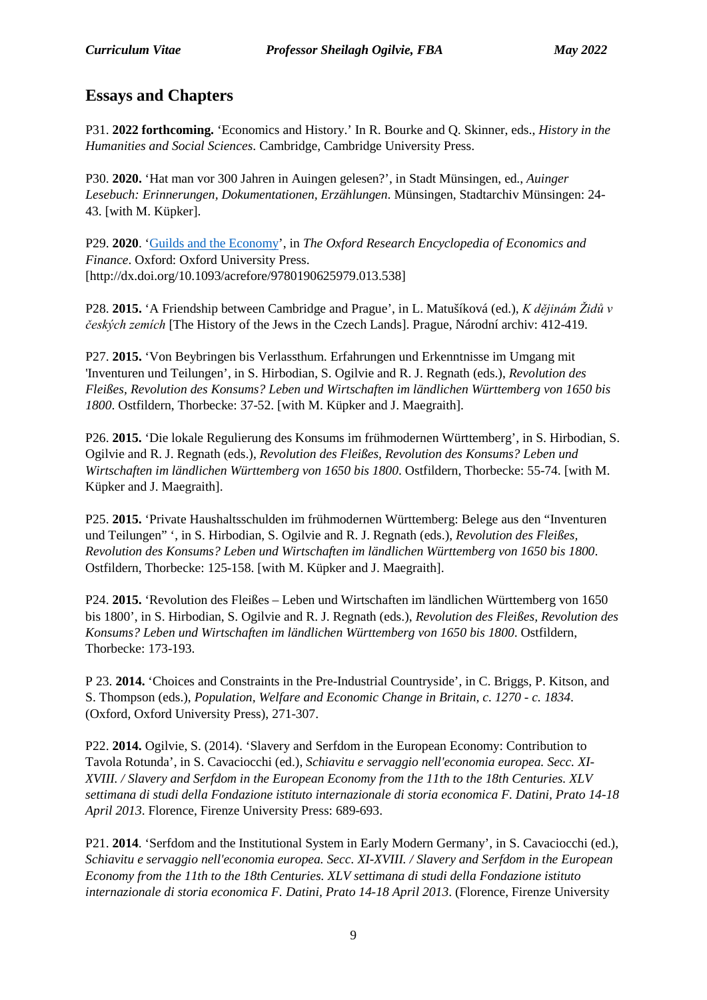### **Essays and Chapters**

P31. **2022 forthcoming.** 'Economics and History.' In R. Bourke and Q. Skinner, eds., *History in the Humanities and Social Sciences*. Cambridge, Cambridge University Press.

P30. **2020.** 'Hat man vor 300 Jahren in Auingen gelesen?', in Stadt Münsingen, ed., *Auinger Lesebuch: Erinnerungen, Dokumentationen, Erzählungen*. Münsingen, Stadtarchiv Münsingen: 24- 43. [with M. Küpker].

P29. **2020**. ['Guilds and the Economy'](https://oxfordre.com/economics/view/10.1093/acrefore/9780190625979.001.0001/acrefore-9780190625979-e-538), in *The Oxford Research Encyclopedia of Economics and Finance*. Oxford: Oxford University Press. [http://dx.doi.org/10.1093/acrefore/9780190625979.013.538]

P28. **2015.** 'A Friendship between Cambridge and Prague', in L. Matušíková (ed.), *K dějinám Židů v českých zemích* [The History of the Jews in the Czech Lands]. Prague, Národní archiv: 412-419.

P27. **2015.** 'Von Beybringen bis Verlassthum. Erfahrungen und Erkenntnisse im Umgang mit 'Inventuren und Teilungen', in S. Hirbodian, S. Ogilvie and R. J. Regnath (eds.), *Revolution des Fleißes, Revolution des Konsums? Leben und Wirtschaften im ländlichen Württemberg von 1650 bis 1800*. Ostfildern, Thorbecke: 37-52. [with M. Küpker and J. Maegraith].

P26. **2015.** 'Die lokale Regulierung des Konsums im frühmodernen Württemberg', in S. Hirbodian, S. Ogilvie and R. J. Regnath (eds.), *Revolution des Fleißes, Revolution des Konsums? Leben und Wirtschaften im ländlichen Württemberg von 1650 bis 1800*. Ostfildern, Thorbecke: 55-74. [with M. Küpker and J. Maegraith].

P25. **2015.** 'Private Haushaltsschulden im frühmodernen Württemberg: Belege aus den "Inventuren und Teilungen" ', in S. Hirbodian, S. Ogilvie and R. J. Regnath (eds.), *Revolution des Fleißes, Revolution des Konsums? Leben und Wirtschaften im ländlichen Württemberg von 1650 bis 1800*. Ostfildern, Thorbecke: 125-158. [with M. Küpker and J. Maegraith].

P24. **2015.** 'Revolution des Fleißes – Leben und Wirtschaften im ländlichen Württemberg von 1650 bis 1800', in S. Hirbodian, S. Ogilvie and R. J. Regnath (eds.), *Revolution des Fleißes, Revolution des Konsums? Leben und Wirtschaften im ländlichen Württemberg von 1650 bis 1800*. Ostfildern, Thorbecke: 173-193.

P 23. **2014.** 'Choices and Constraints in the Pre-Industrial Countryside', in C. Briggs, P. Kitson, and S. Thompson (eds.), *Population, Welfare and Economic Change in Britain, c. 1270 - c. 1834*. (Oxford, Oxford University Press), 271-307.

P22. **2014.** Ogilvie, S. (2014). 'Slavery and Serfdom in the European Economy: Contribution to Tavola Rotunda', in S. Cavaciocchi (ed.), *Schiavitu e servaggio nell'economia europea. Secc. XI-XVIII. / Slavery and Serfdom in the European Economy from the 11th to the 18th Centuries. XLV settimana di studi della Fondazione istituto internazionale di storia economica F. Datini, Prato 14-18 April 2013*. Florence, Firenze University Press: 689-693.

P21. **2014**. 'Serfdom and the Institutional System in Early Modern Germany', in S. Cavaciocchi (ed.), *Schiavitu e servaggio nell'economia europea. Secc. XI-XVIII. / Slavery and Serfdom in the European Economy from the 11th to the 18th Centuries. XLV settimana di studi della Fondazione istituto internazionale di storia economica F. Datini, Prato 14-18 April 2013*. (Florence, Firenze University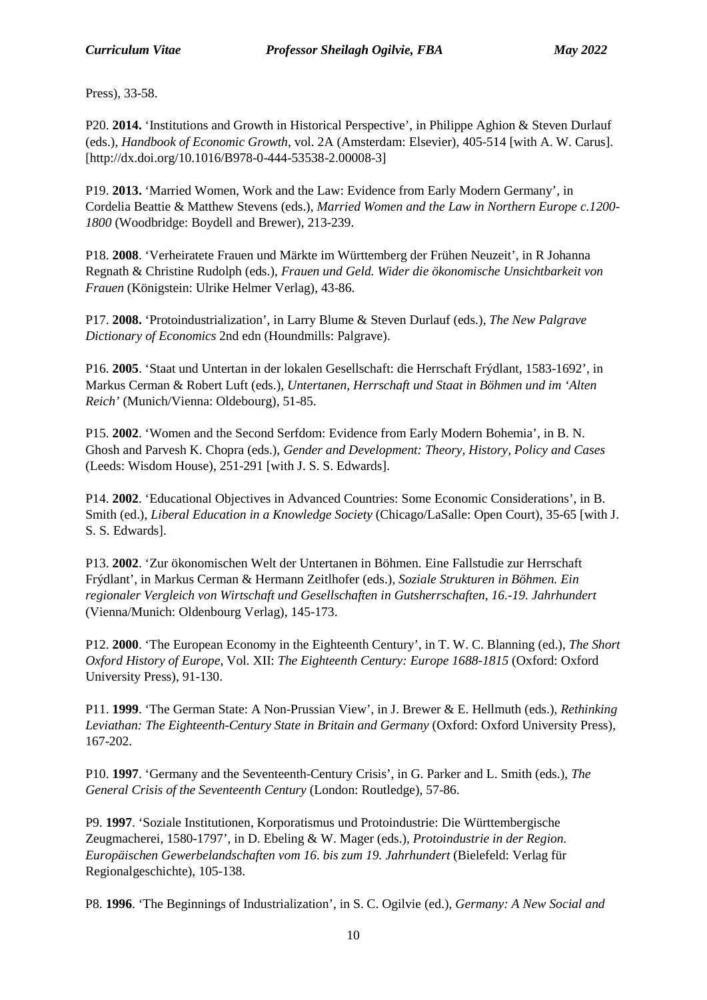Press), 33-58.

P20. **2014.** 'Institutions and Growth in Historical Perspective', in Philippe Aghion & Steven Durlauf (eds.), *Handbook of Economic Growth*, vol. 2A (Amsterdam: Elsevier), 405-514 [with A. W. Carus]. [http://dx.doi.org/10.1016/B978-0-444-53538-2.00008-3]

P19. **2013.** 'Married Women, Work and the Law: Evidence from Early Modern Germany', in Cordelia Beattie & Matthew Stevens (eds.), *Married Women and the Law in Northern Europe c.1200- 1800* (Woodbridge: Boydell and Brewer), 213-239.

P18. **2008**. 'Verheiratete Frauen und Märkte im Württemberg der Frühen Neuzeit', in R Johanna Regnath & Christine Rudolph (eds.), *Frauen und Geld. Wider die ökonomische Unsichtbarkeit von Frauen* (Königstein: Ulrike Helmer Verlag), 43-86.

P17. **2008.** 'Protoindustrialization', in Larry Blume & Steven Durlauf (eds.), *The New Palgrave Dictionary of Economics* 2nd edn (Houndmills: Palgrave).

P16. **2005**. 'Staat und Untertan in der lokalen Gesellschaft: die Herrschaft Frýdlant, 1583-1692', in Markus Cerman & Robert Luft (eds.), *Untertanen, Herrschaft und Staat in Böhmen und im 'Alten Reich'* (Munich/Vienna: Oldebourg), 51-85.

P15. **2002**. 'Women and the Second Serfdom: Evidence from Early Modern Bohemia', in B. N. Ghosh and Parvesh K. Chopra (eds.), *Gender and Development: Theory, History, Policy and Cases*  (Leeds: Wisdom House), 251-291 [with J. S. S. Edwards].

P14. **2002**. 'Educational Objectives in Advanced Countries: Some Economic Considerations', in B. Smith (ed.), *Liberal Education in a Knowledge Society* (Chicago/LaSalle: Open Court), 35-65 [with J. S. S. Edwards].

P13. **2002**. 'Zur ökonomischen Welt der Untertanen in Böhmen. Eine Fallstudie zur Herrschaft Frýdlant', in Markus Cerman & Hermann Zeitlhofer (eds.), *Soziale Strukturen in Böhmen. Ein regionaler Vergleich von Wirtschaft und Gesellschaften in Gutsherrschaften, 16.-19. Jahrhundert* (Vienna/Munich: Oldenbourg Verlag), 145-173.

P12. **2000**. 'The European Economy in the Eighteenth Century', in T. W. C. Blanning (ed.), *The Short Oxford History of Europe*, Vol. XII: *The Eighteenth Century: Europe 1688-1815* (Oxford: Oxford University Press), 91-130.

P11. **1999**. 'The German State: A Non-Prussian View', in J. Brewer & E. Hellmuth (eds.), *Rethinking*  Leviathan: The Eighteenth-Century State in Britain and Germany (Oxford: Oxford University Press), 167-202.

P10. **1997**. 'Germany and the Seventeenth-Century Crisis', in G. Parker and L. Smith (eds.), *The General Crisis of the Seventeenth Century* (London: Routledge), 57-86.

P9. **1997**. 'Soziale Institutionen, Korporatismus und Protoindustrie: Die Württembergische Zeugmacherei, 1580-1797', in D. Ebeling & W. Mager (eds.), *Protoindustrie in der Region. Europäischen Gewerbelandschaften vom 16. bis zum 19. Jahrhundert* (Bielefeld: Verlag für Regionalgeschichte), 105-138.

P8. **1996**. 'The Beginnings of Industrialization', in S. C. Ogilvie (ed.), *Germany: A New Social and*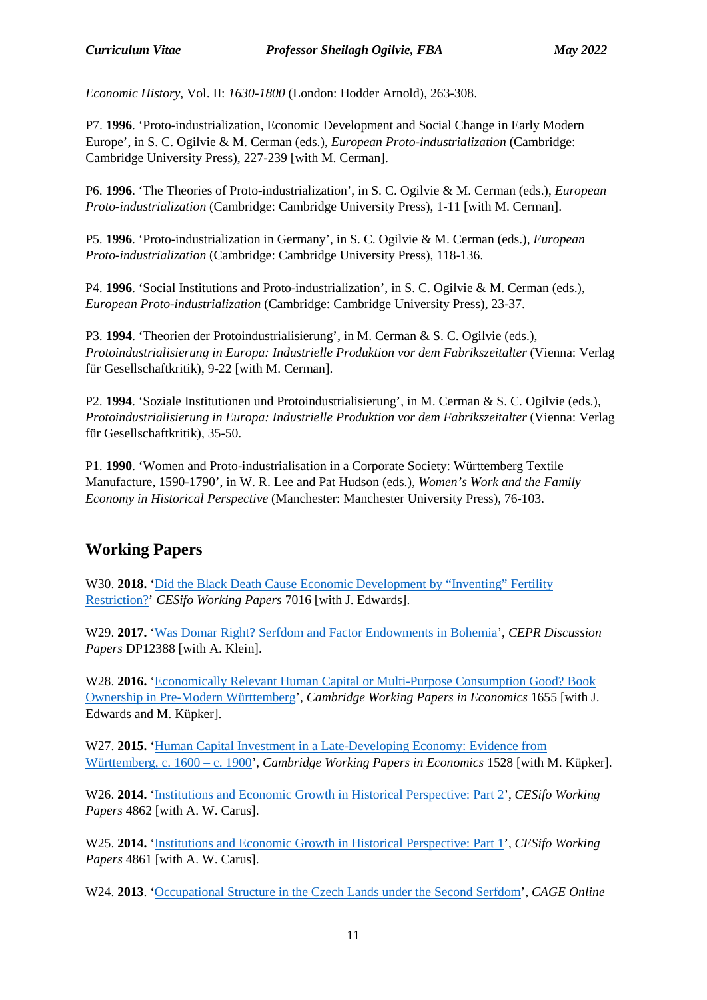*Economic History*, Vol. II: *1630-1800* (London: Hodder Arnold), 263-308.

P7. **1996**. 'Proto-industrialization, Economic Development and Social Change in Early Modern Europe', in S. C. Ogilvie & M. Cerman (eds.), *European Proto-industrialization* (Cambridge: Cambridge University Press), 227-239 [with M. Cerman].

P6. **1996**. 'The Theories of Proto-industrialization', in S. C. Ogilvie & M. Cerman (eds.), *European Proto-industrialization* (Cambridge: Cambridge University Press), 1-11 [with M. Cerman].

P5. **1996**. 'Proto-industrialization in Germany', in S. C. Ogilvie & M. Cerman (eds.), *European Proto-industrialization* (Cambridge: Cambridge University Press), 118-136.

P4. **1996**. 'Social Institutions and Proto-industrialization', in S. C. Ogilvie & M. Cerman (eds.), *European Proto-industrialization* (Cambridge: Cambridge University Press), 23-37.

P3. **1994**. 'Theorien der Protoindustrialisierung', in M. Cerman & S. C. Ogilvie (eds.), *Protoindustrialisierung in Europa: Industrielle Produktion vor dem Fabrikszeitalter* (Vienna: Verlag für Gesellschaftkritik), 9-22 [with M. Cerman].

P2. **1994**. 'Soziale Institutionen und Protoindustrialisierung', in M. Cerman & S. C. Ogilvie (eds.), *Protoindustrialisierung in Europa: Industrielle Produktion vor dem Fabrikszeitalter* (Vienna: Verlag für Gesellschaftkritik), 35-50.

P1. **1990**. 'Women and Proto-industrialisation in a Corporate Society: Württemberg Textile Manufacture, 1590-1790', in W. R. Lee and Pat Hudson (eds.), *Women's Work and the Family Economy in Historical Perspective* (Manchester: Manchester University Press), 76-103.

#### **Working Papers**

W30. **2018.** 'Did the Black Death Cause Economic Development by "Inventing" Fertility [Restriction?'](https://www.cesifo-group.de/DocDL/cesifo1_wp7016.pdf) *CESifo Working Papers* 7016 [with J. Edwards].

W29. **2017.** ['Was Domar Right? Serfdom and Factor Endowments in Bohemia'](http://cepr.org/active/publications/discussion_papers/dp.php?dpno=12388), *CEPR Discussion Papers* DP12388 [with A. Klein].

W28. **2016.** ['Economically Relevant Human Capital or Multi-Purpose Consumption Good? Book](http://www.econ.cam.ac.uk/research/repec/cam/pdf/cwpe1655.pdf)  [Ownership in Pre-Modern Württemberg'](http://www.econ.cam.ac.uk/research/repec/cam/pdf/cwpe1655.pdf), *Cambridge Working Papers in Economics* 1655 [with J. Edwards and M. Küpker].

W27. **2015.** 'Human Capital Investment in a Late-Developing Economy: Evidence from [Württemberg, c. 1600 –](http://www.econ.cam.ac.uk/research/repec/cam/pdf/cwpe1528.pdf) c. 1900', *Cambridge Working Papers in Economics* 1528 [with M. Küpker].

W26. **2014.** ['Institutions and Economic Growth in Historical Perspective: Part 2'](http://ssrn.com/abstract=2463601), *CESifo Working Papers* 4862 [with A. W. Carus].

W25. **2014.** ['Institutions and Economic Growth in Historical Perspective: Part 1'](http://ssrn.com/abstract=2463598), *CESifo Working Papers* 4861 [with A. W. Carus].

W24. **2013**. ['Occupational Structure in the Czech Lands under the Second Serfdom'](http://www2.warwick.ac.uk/fac/soc/economics/research/centres/cage/research/wpfeed/176-2013_klein.pdf), *CAGE Online*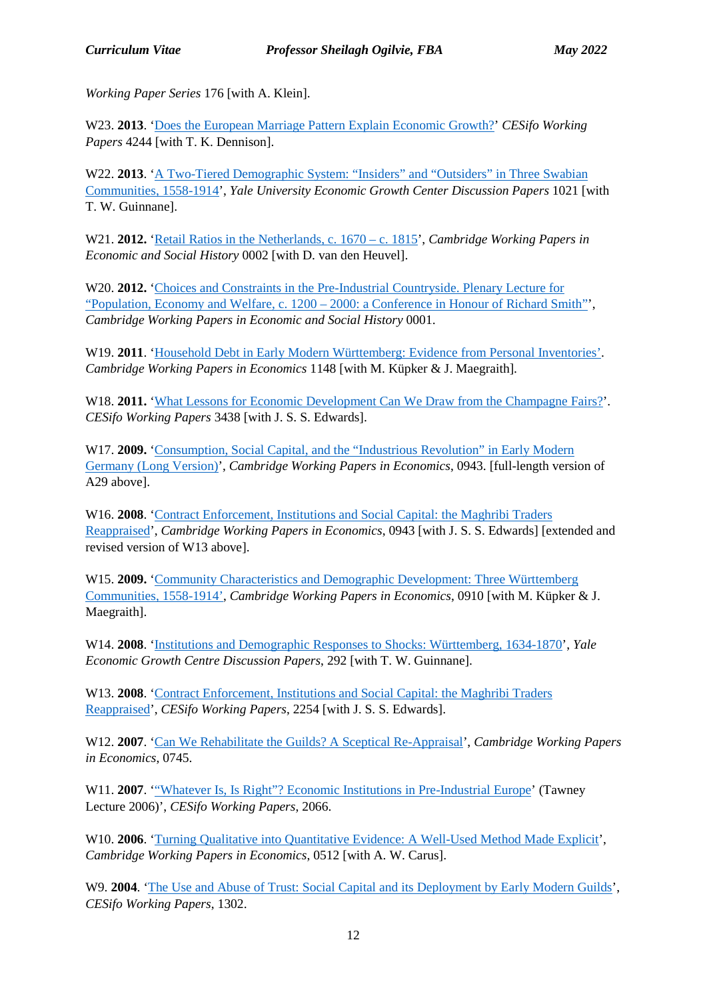*Working Paper Series* 176 [with A. Klein].

W23. **2013**. ['Does the European Marriage Pattern Explain Economic Growth?'](http://papers.ssrn.com/sol3/papers.cfm?abstract_id=2274606) *CESifo Working Papers* 4244 [with T. K. Dennison].

W22. 2013. 'A Two-Tiered Demographic System: "Insiders" and "Outsiders" in Three Swabian [Communities, 1558-1914'](http://ssrn.com/abstract=2222932), *Yale University Economic Growth Center Discussion Papers* 1021 [with T. W. Guinnane].

W21. **2012.** ['Retail Ratios in the Netherlands, c. 1670 –](http://www.econsoc.hist.cam.ac.uk/docs/CWPESH%20number%202%20March%202012.pdf) c. 1815', *Cambridge Working Papers in Economic and Social History* 0002 [with D. van den Heuvel].

W20. **2012.** ['Choices and Constraints in the Pre-Industrial Countryside. Plenary Lecture for](http://www.econsoc.hist.cam.ac.uk/docs/CWPESH%20number%201%20March%202012.pdf)  "Population, Economy and Welfare, c. 1200 – [2000: a Conference in Honour of Richard Smith"'](http://www.econsoc.hist.cam.ac.uk/docs/CWPESH%20number%201%20March%202012.pdf), *Cambridge Working Papers in Economic and Social History* 0001.

W19. **2011**. ['Household Debt in Early Modern Württemberg: Evidence from Personal Inventories'.](http://www.econ.cam.ac.uk/dae/repec/cam/pdf/cwpe1148.pdf) *Cambridge Working Papers in Economics* 1148 [with M. Küpker & J. Maegraith].

W18. **2011.** ['What Lessons for Economic Development Can We Draw from the Champagne Fairs?'](http://www.cesifo-group.de/portal/pls/portal/docs/1/1200473.PDF). *CESifo Working Papers* 3438 [with J. S. S. Edwards].

W17. **2009.** ['Consumption, Social Capital, and the "Industrious Revolution" in Early Modern](http://www.econ.cam.ac.uk/dae/repec/cam/pdf/cwpe0943.pdf)  [Germany \(Long Version\)'](http://www.econ.cam.ac.uk/dae/repec/cam/pdf/cwpe0943.pdf), *Cambridge Working Papers in Economics*, 0943. [full-length version of A29 above].

W16. **2008**. ['Contract Enforcement, Institutions and Social Capital: the Maghribi Traders](http://www.econ.cam.ac.uk/dae/repec/cam/pdf/cwpe0928.pdf)  [Reappraised'](http://www.econ.cam.ac.uk/dae/repec/cam/pdf/cwpe0928.pdf), *Cambridge Working Papers in Economics*, 0943 [with J. S. S. Edwards] [extended and revised version of W13 above].

W15. **2009.** ['Community Characteristics and Demographic Development: Three Württemberg](http://www.econ.cam.ac.uk/dae/repec/cam/pdf/cwpe0910.pdf)  [Communities, 1558-1914',](http://www.econ.cam.ac.uk/dae/repec/cam/pdf/cwpe0910.pdf) *Cambridge Working Papers in Economics*, 0910 [with M. Küpker & J. Maegraith].

W14. **2008**. ['Institutions and Demographic Responses to Shocks: Württemberg, 1634-1870'](http://papers.ssrn.com/sol3/papers.cfm?abstract_id=1109058), *Yale Economic Growth Centre Discussion Papers*, 292 [with T. W. Guinnane].

W13. **2008**. ['Contract Enforcement, Institutions and Social Capital: the Maghribi Traders](http://papers.ssrn.com/sol3/papers.cfm?abstract_id=1107801)  [Reappraised'](http://papers.ssrn.com/sol3/papers.cfm?abstract_id=1107801), *CESifo Working Papers*, 2254 [with J. S. S. Edwards].

W12. **2007**. ['Can We Rehabilitate the Guilds? A Sceptical Re-Appraisal'](http://www.econ.cam.ac.uk/dae/repec/cam/pdf/cwpe0745.pdf), *Cambridge Working Papers in Economics*, 0745.

W11. **2007.** "Whatever Is, Is Right"? Economic Institutions in Pre-Industrial Europe' (Tawney Lecture 2006)', *CESifo Working Papers*, 2066.

W10. **2006**. ['Turning Qualitative into Quantitative Evidence: A Well-Used Method Made Explicit'](http://www.econ.cam.ac.uk/dae/repec/cam/pdf/cwpe0512.pdf), *Cambridge Working Papers in Economics*, 0512 [with A. W. Carus].

W9. **2004**. ['The Use and Abuse of Trust: Social Capital and its Deployment by Early Modern Guilds'](http://www.econ.cam.ac.uk/faculty/ogilvie/cesifo1302-trust.pdf), *CESifo Working Papers*, 1302.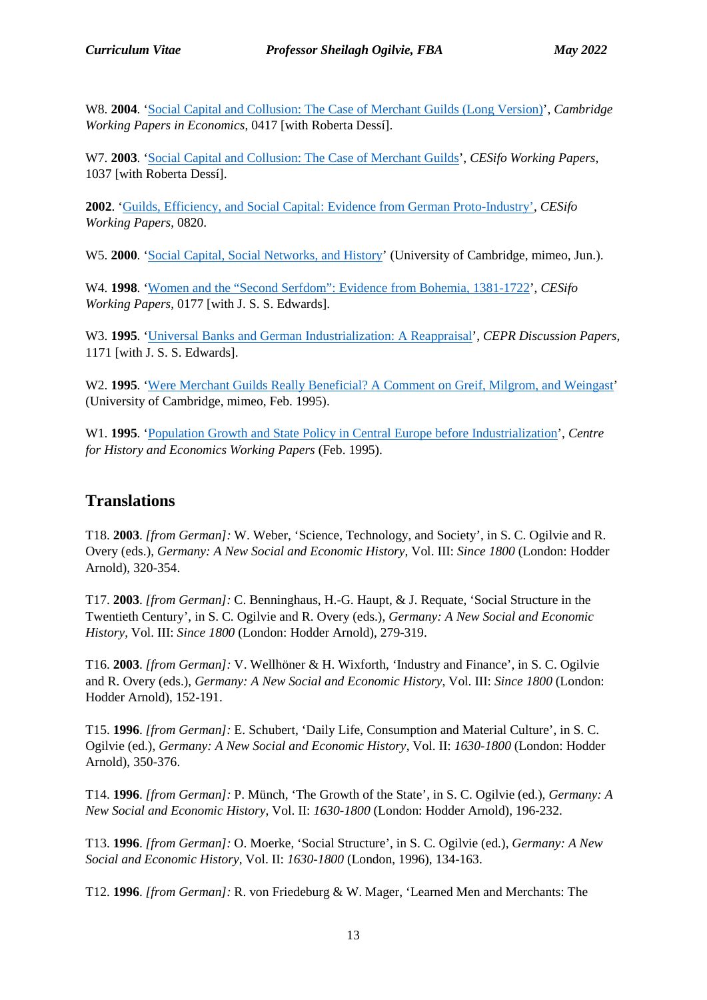W8. **2004**. ['Social Capital and Collusion: The Case of Merchant Guilds \(Long Version\)'](http://www.econ.cam.ac.uk/dae/repec/cam/pdf/cwpe0417.pdf), *Cambridge Working Papers in Economics*, 0417 [with Roberta Dessí].

W7. **2003**. 'Social Capital and Collusion: [The Case of Merchant Guilds'](http://papers.ssrn.com/sol3/papers.cfm?abstract_id=449263), *CESifo Working Papers*, 1037 [with Roberta Dessí].

**2002**. ['Guilds, Efficiency, and Social Capital: Evidence from German Proto-Industry',](http://papers.ssrn.com/sol3/papers.cfm?abstract_id=367167) *CESifo Working Papers*, 0820.

W5. **2000**. ['Social Capital, Social Networks, and History'](https://www.google.com/url?sa=t&rct=j&q=&esrc=s&source=web&cd=1&cad=rja&uact=8&ved=2ahUKEwiuseOBwNbmAhXKTcAKHU-0BfcQFjAAegQIAhAC&url=http%3A%2F%2Fwww.econ.cam.ac.uk%2Fpeople-files%2Ffaculty%2Fsco2%2Fpdfs%2Fsocial-capital-and-history.pdf&usg=AOvVaw2HQWB5oKzytBcLU92oF91P) (University of Cambridge, mimeo, Jun.).

W4. **1998**. ['Women and the "Second Serfdom": Evidence from Bohemia, 1381-1722'](http://papers.ssrn.com/sol3/papers.cfm?abstract_id=148480), *CESifo Working Papers*, 0177 [with J. S. S. Edwards].

W3. **1995**. ['Universal Banks and German Industrialization: A Reappraisal'](http://www.cepr.org/pubs/new-dps/dplist.asp?dpno=1171), *CEPR Discussion Papers*, 1171 [with J. S. S. Edwards].

W<sub>2</sub>. **1995**. ['Were Merchant Guilds Really Beneficial? A Comment on Greif, Milgrom, and Weingast'](https://www.google.com/url?sa=t&rct=j&q=&esrc=s&source=web&cd=11&cad=rja&uact=8&ved=2ahUKEwjHmu_Ov9bmAhVxmVwKHbYuDV8QFjAKegQIBBAC&url=http%3A%2F%2Fwww.econ.cam.ac.uk%2Fpeople-files%2Ffaculty%2Fsco2%2Fpdfs%2Fgmw-comment.pdf&usg=AOvVaw2mO5CFsuhHF_ycJtsIHjtV) (University of Cambridge, mimeo, Feb. 1995).

W1. **1995**. ['Population Growth and State Policy in Central Europe before Industrialization'](https://www.google.com/url?sa=t&rct=j&q=&esrc=s&source=web&cd=6&cad=rja&uact=8&ved=2ahUKEwir8_SBv9bmAhWHh1wKHbFdCtwQFjAFegQIAxAC&url=http%3A%2F%2Fwww.econ.cam.ac.uk%2Fpeople-files%2Ffaculty%2Fsco2%2Fpdfs%2FPopulation-and-State-in-Central-Europe-1995.pdf&usg=AOvVaw1qUMT_6r0oOPQeVRvbagwG), *Centre for History and Economics Working Papers* (Feb. 1995).

#### **Translations**

T18. **2003**. *[from German]:* W. Weber, 'Science, Technology, and Society', in S. C. Ogilvie and R. Overy (eds.), *Germany: A New Social and Economic History*, Vol. III: *Since 1800* (London: Hodder Arnold), 320-354.

T17. **2003**. *[from German]:* C. Benninghaus, H.-G. Haupt, & J. Requate, 'Social Structure in the Twentieth Century', in S. C. Ogilvie and R. Overy (eds.), *Germany: A New Social and Economic History*, Vol. III: *Since 1800* (London: Hodder Arnold), 279-319.

T16. **2003**. *[from German]:* V. Wellhöner & H. Wixforth, 'Industry and Finance', in S. C. Ogilvie and R. Overy (eds.), *Germany: A New Social and Economic History*, Vol. III: *Since 1800* (London: Hodder Arnold), 152-191.

T15. **1996**. *[from German]:* E. Schubert, 'Daily Life, Consumption and Material Culture', in S. C. Ogilvie (ed.), *Germany: A New Social and Economic History*, Vol. II: *1630-1800* (London: Hodder Arnold), 350-376.

T14. **1996**. *[from German]:* P. Münch, 'The Growth of the State', in S. C. Ogilvie (ed.), *Germany: A New Social and Economic History*, Vol. II: *1630-1800* (London: Hodder Arnold), 196-232.

T13. **1996**. *[from German]:* O. Moerke, 'Social Structure', in S. C. Ogilvie (ed.), *Germany: A New Social and Economic History*, Vol. II: *1630-1800* (London, 1996), 134-163.

T12. **1996**. *[from German]:* R. von Friedeburg & W. Mager, 'Learned Men and Merchants: The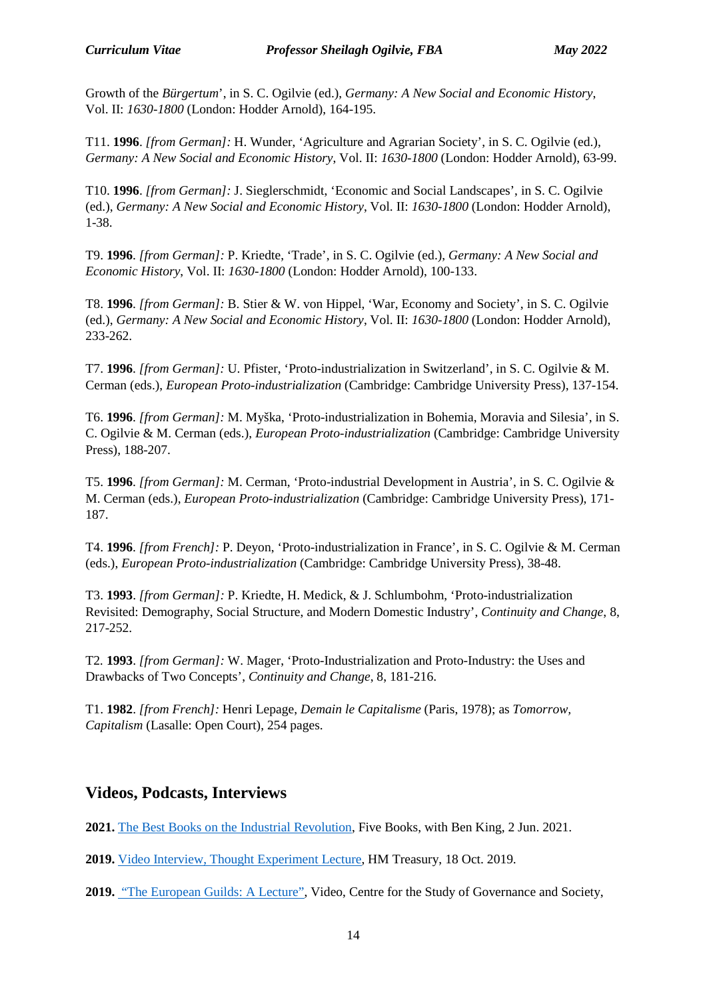Growth of the *Bürgertum*', in S. C. Ogilvie (ed.), *Germany: A New Social and Economic History*, Vol. II: *1630-1800* (London: Hodder Arnold), 164-195.

T11. **1996**. *[from German]:* H. Wunder, 'Agriculture and Agrarian Society', in S. C. Ogilvie (ed.), *Germany: A New Social and Economic History*, Vol. II: *1630-1800* (London: Hodder Arnold), 63-99.

T10. **1996**. *[from German]:* J. Sieglerschmidt, 'Economic and Social Landscapes', in S. C. Ogilvie (ed.), *Germany: A New Social and Economic History*, Vol. II: *1630-1800* (London: Hodder Arnold), 1-38.

T9. **1996**. *[from German]:* P. Kriedte, 'Trade', in S. C. Ogilvie (ed.), *Germany: A New Social and Economic History*, Vol. II: *1630-1800* (London: Hodder Arnold), 100-133.

T8. **1996**. *[from German]:* B. Stier & W. von Hippel, 'War, Economy and Society', in S. C. Ogilvie (ed.), *Germany: A New Social and Economic History*, Vol. II: *1630-1800* (London: Hodder Arnold), 233-262.

T7. **1996**. *[from German]:* U. Pfister, 'Proto-industrialization in Switzerland', in S. C. Ogilvie & M. Cerman (eds.), *European Proto-industrialization* (Cambridge: Cambridge University Press), 137-154.

T6. **1996**. *[from German]:* M. Myška, 'Proto-industrialization in Bohemia, Moravia and Silesia', in S. C. Ogilvie & M. Cerman (eds.), *European Proto-industrialization* (Cambridge: Cambridge University Press), 188-207.

T5. **1996**. *[from German]:* M. Cerman, 'Proto-industrial Development in Austria', in S. C. Ogilvie & M. Cerman (eds.), *European Proto-industrialization* (Cambridge: Cambridge University Press), 171- 187.

T4. **1996**. *[from French]:* P. Deyon, 'Proto-industrialization in France', in S. C. Ogilvie & M. Cerman (eds.), *European Proto-industrialization* (Cambridge: Cambridge University Press), 38-48.

T3. **1993**. *[from German]:* P. Kriedte, H. Medick, & J. Schlumbohm, 'Proto-industrialization Revisited: Demography, Social Structure, and Modern Domestic Industry', *Continuity and Change*, 8, 217-252.

T2*.* **1993**. *[from German]:* W. Mager, 'Proto-Industrialization and Proto-Industry: the Uses and Drawbacks of Two Concepts', *Continuity and Change*, 8, 181-216.

T1. **1982**. *[from French]:* Henri Lepage, *Demain le Capitalisme* (Paris, 1978); as *Tomorrow, Capitalism* (Lasalle: Open Court), 254 pages.

#### **Videos, Podcasts, Interviews**

**2021.** [The Best Books on the Industrial Revolution,](https://fivebooks.com/best-books/industrial-revolution-sheilagh-ogilvie/) Five Books, with Ben King, 2 Jun. 2021.

**2019.** [Video Interview, Thought Experiment Lecture,](http://www.econ.cam.ac.uk/news/ogilvie-thought-experiment-lecture-videos-october-19-all) HM Treasury, 18 Oct. 2019.

**2019.** ["The European Guilds: A Lecture",](https://csgs.kcl.ac.uk/video/the-european-guilds-a-lecture-by-sheilagh-ogilvie/) Video, Centre for the Study of Governance and Society,